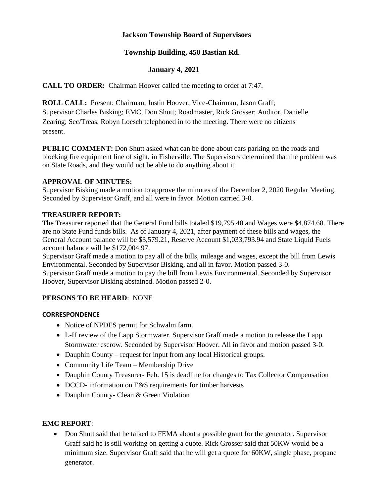## **Jackson Township Board of Supervisors**

## **Township Building, 450 Bastian Rd.**

## **January 4, 2021**

**CALL TO ORDER:** Chairman Hoover called the meeting to order at 7:47.

**ROLL CALL:** Present: Chairman, Justin Hoover; Vice-Chairman, Jason Graff;

Supervisor Charles Bisking; EMC, Don Shutt; Roadmaster, Rick Grosser; Auditor, Danielle Zearing; Sec/Treas. Robyn Loesch telephoned in to the meeting. There were no citizens present.

**PUBLIC COMMENT:** Don Shutt asked what can be done about cars parking on the roads and blocking fire equipment line of sight, in Fisherville. The Supervisors determined that the problem was on State Roads, and they would not be able to do anything about it.

# **APPROVAL OF MINUTES:**

Supervisor Bisking made a motion to approve the minutes of the December 2, 2020 Regular Meeting. Seconded by Supervisor Graff, and all were in favor. Motion carried 3-0.

#### **TREASURER REPORT:**

The Treasurer reported that the General Fund bills totaled \$19,795.40 and Wages were \$4,874.68. There are no State Fund funds bills. As of January 4, 2021, after payment of these bills and wages, the General Account balance will be \$3,579.21, Reserve Account \$1,033,793.94 and State Liquid Fuels account balance will be \$172,004.97.

Supervisor Graff made a motion to pay all of the bills, mileage and wages, except the bill from Lewis Environmental. Seconded by Supervisor Bisking, and all in favor. Motion passed 3-0. Supervisor Graff made a motion to pay the bill from Lewis Environmental. Seconded by Supervisor Hoover, Supervisor Bisking abstained. Motion passed 2-0.

## **PERSONS TO BE HEARD**: NONE

## **CORRESPONDENCE**

- Notice of NPDES permit for Schwalm farm.
- L-H review of the Lapp Stormwater. Supervisor Graff made a motion to release the Lapp Stormwater escrow. Seconded by Supervisor Hoover. All in favor and motion passed 3-0.
- Dauphin County request for input from any local Historical groups.
- Community Life Team Membership Drive
- Dauphin County Treasurer- Feb. 15 is deadline for changes to Tax Collector Compensation
- DCCD- information on E&S requirements for timber harvests
- Dauphin County- Clean & Green Violation

## **EMC REPORT**:

• Don Shutt said that he talked to FEMA about a possible grant for the generator. Supervisor Graff said he is still working on getting a quote. Rick Grosser said that 50KW would be a minimum size. Supervisor Graff said that he will get a quote for 60KW, single phase, propane generator.